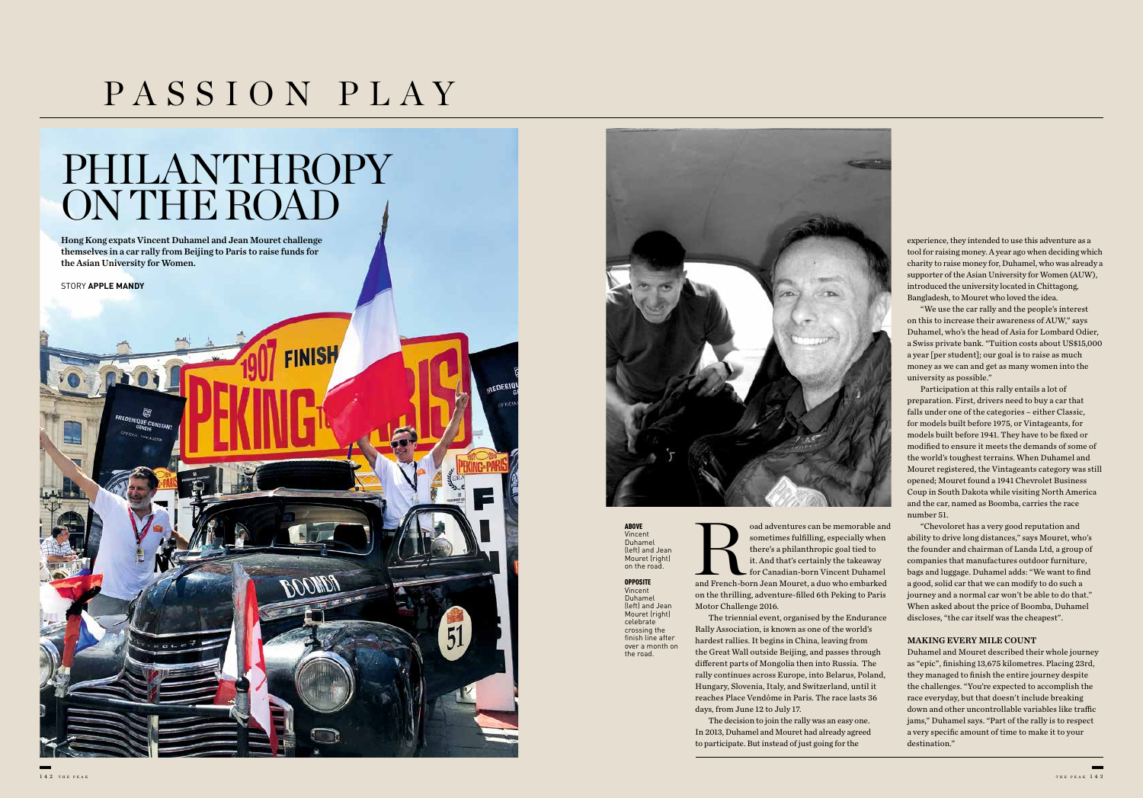# PASSION PLAY

and sometimes fulfilling, especially when<br>there's a philanthropic goal tied to<br>it. And that's certainly the takeaway<br>for Canadian-born Vincent Duhamel<br>and French-born Jean Mouret, a duo who embarked sometimes fulfilling, especially when there's a philanthropic goal tied to it. And that's certainly the takeaway for Canadian-born Vincent Duhamel on the thrilling, adventure-filled 6th Peking to Paris

Motor Challenge 2016.

The triennial event, organised by the Endurance Rally Association, is known as one of the world's hardest rallies. It begins in China, leaving from the Great Wall outside Beijing, and passes through different parts of Mongolia then into Russia. The rally continues across Europe, into Belarus, Poland, Hungary, Slovenia, Italy, and Switzerland, until it reaches Place Vendôme in Paris. The race lasts 36 days, from June 12 to July 17.

The decision to join the rally was an easy one. In 2013, Duhamel and Mouret had already agreed to participate. But instead of just going for the

### PHILANTHROPY ON THE ROAD





experience, they intended to use this adventure as a tool for raising money. A year ago when deciding which charity to raise money for, Duhamel, who was already a supporter of the Asian University for Women (AUW), introduced the university located in Chittagong, Bangladesh, to Mouret who loved the idea.

"We use the car rally and the people's interest on this to increase their awareness of AUW," says Duhamel, who's the head of Asia for Lombard Odier, a Swiss private bank. "Tuition costs about US\$15,000 a year [per student]; our goal is to raise as much money as we can and get as many women into the university as possible."

**OPPOSITE** Vincent Duhamel (left) and Jean Mouret (right) celebrate crossing the finish line after over a month on

Participation at this rally entails a lot of preparation. First, drivers need to buy a car that falls under one of the categories – either Classic, for models built before 1975, or Vintageants, for models built before 1941. They have to be fixed or modified to ensure it meets the demands of some of the world's toughest terrains. When Duhamel and Mouret registered, the Vintageants category was still opened; Mouret found a 1941 Chevrolet Business Coup in South Dakota while visiting North America and the car, named as Boomba, carries the race number 51.

"Chevoloret has a very good reputation and ability to drive long distances," says Mouret, who's the founder and chairman of Landa Ltd, a group of companies that manufactures outdoor furniture, bags and luggage. Duhamel adds: "We want to find a good, solid car that we can modify to do such a journey and a normal car won't be able to do that." When asked about the price of Boomba, Duhamel discloses, "the car itself was the cheapest".

#### MAKING EVERY MILE COUNT

Duhamel and Mouret described their whole journey as "epic", finishing 13,675 kilometres. Placing 23rd, they managed to finish the entire journey despite the challenges. "You're expected to accomplish the race everyday, but that doesn't include breaking down and other uncontrollable variables like traffic jams," Duhamel says. "Part of the rally is to respect a very specific amount of time to make it to your destination."

ABOVE Vincent Duhamel (left) and Jean Mouret (right) on the road.

the road.